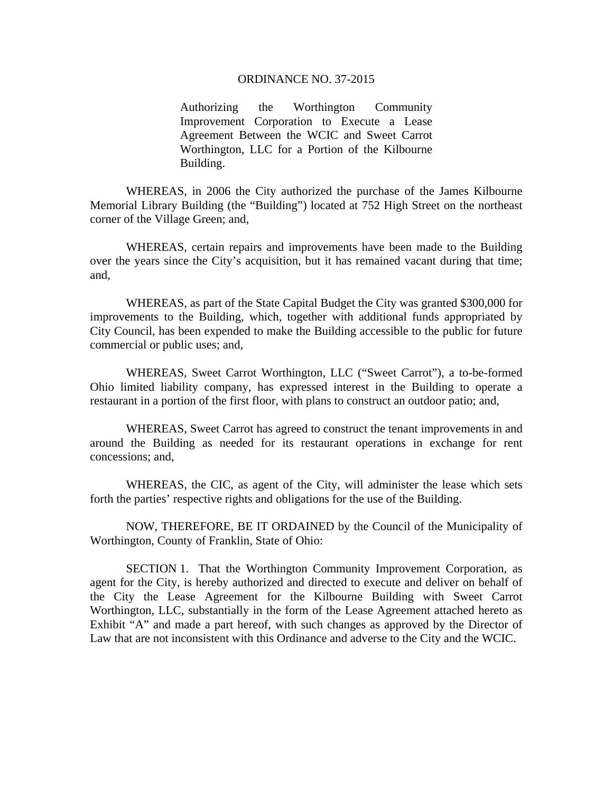#### ORDINANCE NO. 37-2015

Authorizing the Worthington Community Improvement Corporation to Execute a Lease Agreement Between the WCIC and Sweet Carrot Worthington, LLC for a Portion of the Kilbourne Building.

 WHEREAS, in 2006 the City authorized the purchase of the James Kilbourne Memorial Library Building (the "Building") located at 752 High Street on the northeast corner of the Village Green; and,

WHEREAS, certain repairs and improvements have been made to the Building over the years since the City's acquisition, but it has remained vacant during that time; and,

WHEREAS, as part of the State Capital Budget the City was granted \$300,000 for improvements to the Building, which, together with additional funds appropriated by City Council, has been expended to make the Building accessible to the public for future commercial or public uses; and,

WHEREAS, Sweet Carrot Worthington, LLC ("Sweet Carrot"), a to-be-formed Ohio limited liability company, has expressed interest in the Building to operate a restaurant in a portion of the first floor, with plans to construct an outdoor patio; and,

WHEREAS, Sweet Carrot has agreed to construct the tenant improvements in and around the Building as needed for its restaurant operations in exchange for rent concessions; and,

WHEREAS, the CIC, as agent of the City, will administer the lease which sets forth the parties' respective rights and obligations for the use of the Building.

 NOW, THEREFORE, BE IT ORDAINED by the Council of the Municipality of Worthington, County of Franklin, State of Ohio:

SECTION 1. That the Worthington Community Improvement Corporation, as agent for the City, is hereby authorized and directed to execute and deliver on behalf of the City the Lease Agreement for the Kilbourne Building with Sweet Carrot Worthington, LLC, substantially in the form of the Lease Agreement attached hereto as Exhibit "A" and made a part hereof, with such changes as approved by the Director of Law that are not inconsistent with this Ordinance and adverse to the City and the WCIC.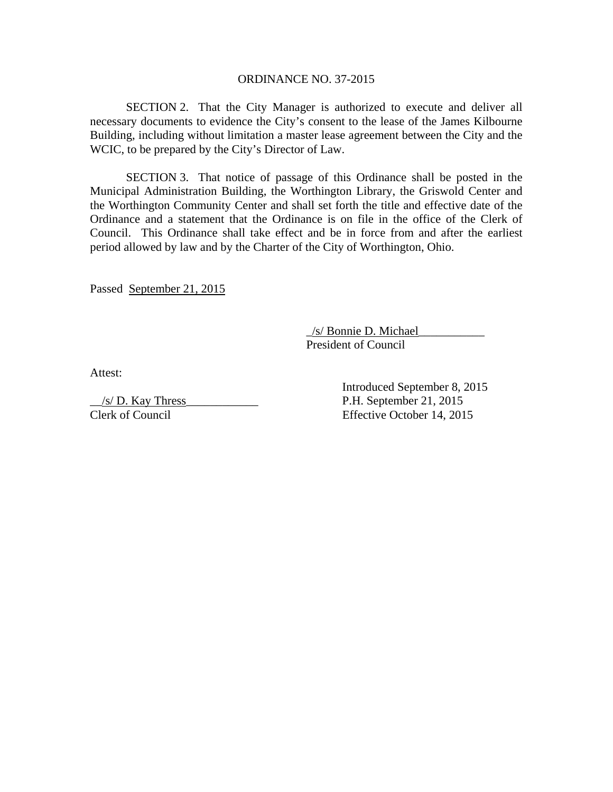### ORDINANCE NO. 37-2015

SECTION 2. That the City Manager is authorized to execute and deliver all necessary documents to evidence the City's consent to the lease of the James Kilbourne Building, including without limitation a master lease agreement between the City and the WCIC, to be prepared by the City's Director of Law.

SECTION 3. That notice of passage of this Ordinance shall be posted in the Municipal Administration Building, the Worthington Library, the Griswold Center and the Worthington Community Center and shall set forth the title and effective date of the Ordinance and a statement that the Ordinance is on file in the office of the Clerk of Council. This Ordinance shall take effect and be in force from and after the earliest period allowed by law and by the Charter of the City of Worthington, Ohio.

Passed September 21, 2015

 \_/s/ Bonnie D. Michael\_\_\_\_\_\_\_\_\_\_\_ President of Council

Attest:

\_\_/s/ D. Kay Thress\_\_\_\_\_\_\_\_\_\_\_\_ P.H. September 21, 2015 Clerk of Council Effective October 14, 2015

Introduced September 8, 2015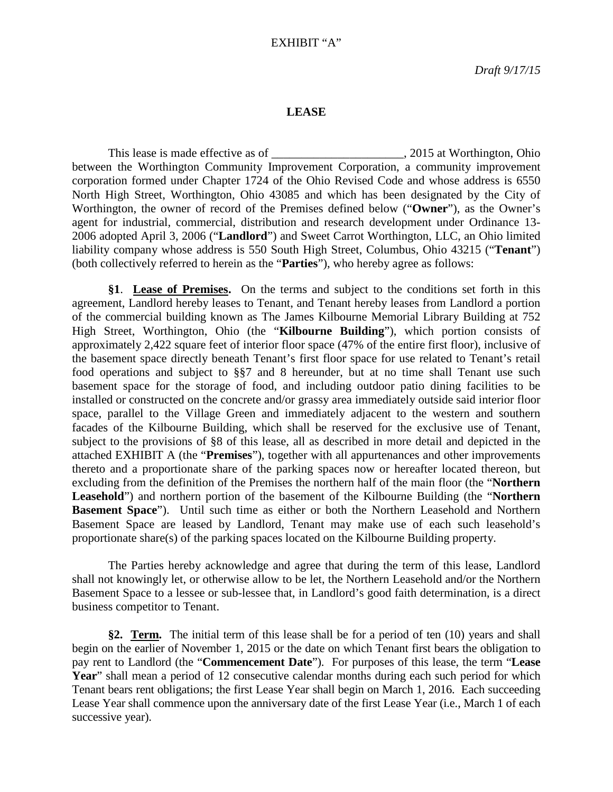## EXHIBIT "A"

### **LEASE**

This lease is made effective as of \_\_\_\_\_\_\_\_\_\_\_\_\_\_\_\_\_\_\_\_\_\_, 2015 at Worthington, Ohio between the Worthington Community Improvement Corporation, a community improvement corporation formed under Chapter 1724 of the Ohio Revised Code and whose address is 6550 North High Street, Worthington, Ohio 43085 and which has been designated by the City of Worthington, the owner of record of the Premises defined below ("**Owner**"), as the Owner's agent for industrial, commercial, distribution and research development under Ordinance 13- 2006 adopted April 3, 2006 ("**Landlord**") and Sweet Carrot Worthington, LLC, an Ohio limited liability company whose address is 550 South High Street, Columbus, Ohio 43215 ("**Tenant**") (both collectively referred to herein as the "**Parties**"), who hereby agree as follows:

**§1**. **Lease of Premises.** On the terms and subject to the conditions set forth in this agreement, Landlord hereby leases to Tenant, and Tenant hereby leases from Landlord a portion of the commercial building known as The James Kilbourne Memorial Library Building at 752 High Street, Worthington, Ohio (the "**Kilbourne Building**"), which portion consists of approximately 2,422 square feet of interior floor space (47% of the entire first floor), inclusive of the basement space directly beneath Tenant's first floor space for use related to Tenant's retail food operations and subject to §§7 and 8 hereunder, but at no time shall Tenant use such basement space for the storage of food, and including outdoor patio dining facilities to be installed or constructed on the concrete and/or grassy area immediately outside said interior floor space, parallel to the Village Green and immediately adjacent to the western and southern facades of the Kilbourne Building, which shall be reserved for the exclusive use of Tenant, subject to the provisions of §8 of this lease, all as described in more detail and depicted in the attached EXHIBIT A (the "**Premises**"), together with all appurtenances and other improvements thereto and a proportionate share of the parking spaces now or hereafter located thereon, but excluding from the definition of the Premises the northern half of the main floor (the "**Northern Leasehold**") and northern portion of the basement of the Kilbourne Building (the "**Northern Basement Space**"). Until such time as either or both the Northern Leasehold and Northern Basement Space are leased by Landlord, Tenant may make use of each such leasehold's proportionate share(s) of the parking spaces located on the Kilbourne Building property.

The Parties hereby acknowledge and agree that during the term of this lease, Landlord shall not knowingly let, or otherwise allow to be let, the Northern Leasehold and/or the Northern Basement Space to a lessee or sub-lessee that, in Landlord's good faith determination, is a direct business competitor to Tenant.

**§2. Term.** The initial term of this lease shall be for a period of ten (10) years and shall begin on the earlier of November 1, 2015 or the date on which Tenant first bears the obligation to pay rent to Landlord (the "**Commencement Date**"). For purposes of this lease, the term "**Lease**  Year" shall mean a period of 12 consecutive calendar months during each such period for which Tenant bears rent obligations; the first Lease Year shall begin on March 1, 2016. Each succeeding Lease Year shall commence upon the anniversary date of the first Lease Year (i.e., March 1 of each successive year).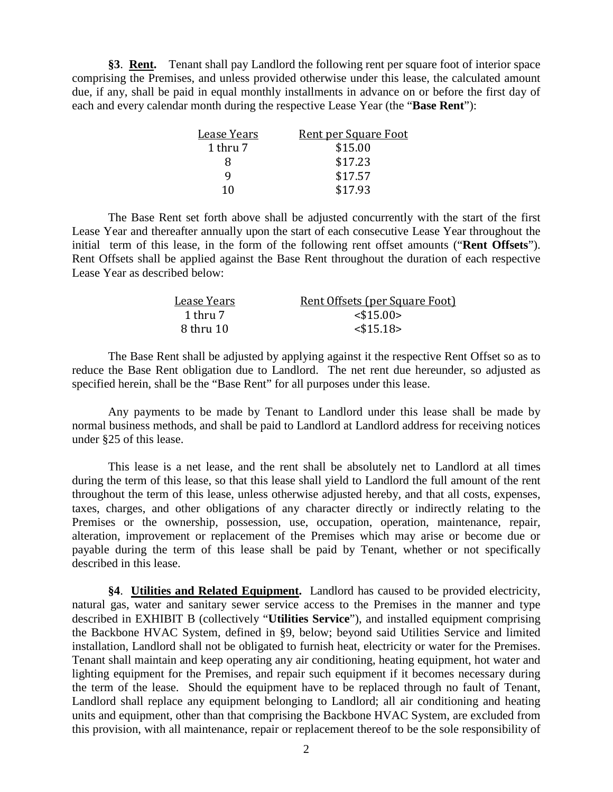**§3**. **Rent.** Tenant shall pay Landlord the following rent per square foot of interior space comprising the Premises, and unless provided otherwise under this lease, the calculated amount due, if any, shall be paid in equal monthly installments in advance on or before the first day of each and every calendar month during the respective Lease Year (the "**Base Rent**"):

| Lease Years | <b>Rent per Square Foot</b> |
|-------------|-----------------------------|
| 1 thru 7    | \$15.00                     |
| x           | \$17.23                     |
|             | \$17.57                     |
| 10          | \$17.93                     |
|             |                             |

The Base Rent set forth above shall be adjusted concurrently with the start of the first Lease Year and thereafter annually upon the start of each consecutive Lease Year throughout the initial term of this lease, in the form of the following rent offset amounts ("**Rent Offsets**"). Rent Offsets shall be applied against the Base Rent throughout the duration of each respective Lease Year as described below:

| Lease Years | Rent Offsets (per Square Foot) |
|-------------|--------------------------------|
| 1 thru 7    | $<$ \$15.00 $>$                |
| 8 thru 10   | $<$ \$15.18>                   |

The Base Rent shall be adjusted by applying against it the respective Rent Offset so as to reduce the Base Rent obligation due to Landlord. The net rent due hereunder, so adjusted as specified herein, shall be the "Base Rent" for all purposes under this lease.

Any payments to be made by Tenant to Landlord under this lease shall be made by normal business methods, and shall be paid to Landlord at Landlord address for receiving notices under §25 of this lease.

This lease is a net lease, and the rent shall be absolutely net to Landlord at all times during the term of this lease, so that this lease shall yield to Landlord the full amount of the rent throughout the term of this lease, unless otherwise adjusted hereby, and that all costs, expenses, taxes, charges, and other obligations of any character directly or indirectly relating to the Premises or the ownership, possession, use, occupation, operation, maintenance, repair, alteration, improvement or replacement of the Premises which may arise or become due or payable during the term of this lease shall be paid by Tenant, whether or not specifically described in this lease.

**§4**. **Utilities and Related Equipment.** Landlord has caused to be provided electricity, natural gas, water and sanitary sewer service access to the Premises in the manner and type described in EXHIBIT B (collectively "**Utilities Service**"), and installed equipment comprising the Backbone HVAC System, defined in §9, below; beyond said Utilities Service and limited installation, Landlord shall not be obligated to furnish heat, electricity or water for the Premises. Tenant shall maintain and keep operating any air conditioning, heating equipment, hot water and lighting equipment for the Premises, and repair such equipment if it becomes necessary during the term of the lease. Should the equipment have to be replaced through no fault of Tenant, Landlord shall replace any equipment belonging to Landlord; all air conditioning and heating units and equipment, other than that comprising the Backbone HVAC System, are excluded from this provision, with all maintenance, repair or replacement thereof to be the sole responsibility of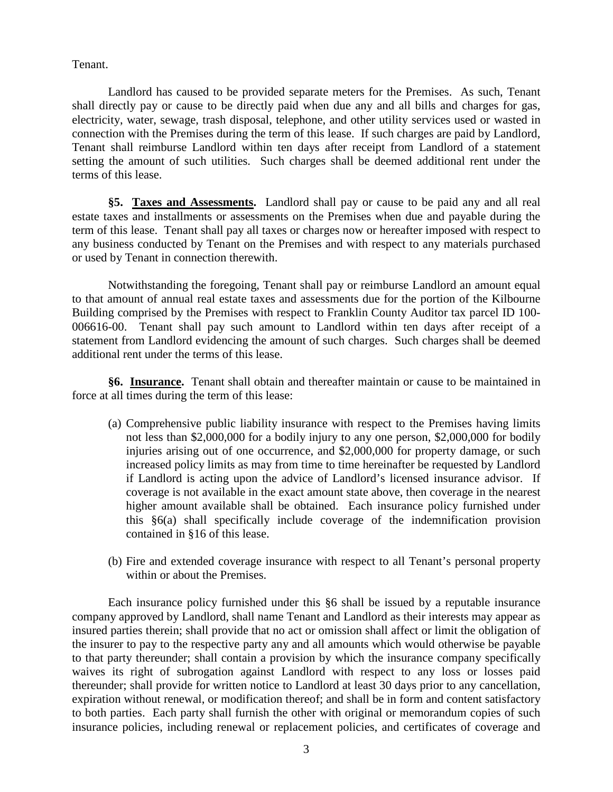Tenant.

Landlord has caused to be provided separate meters for the Premises. As such, Tenant shall directly pay or cause to be directly paid when due any and all bills and charges for gas, electricity, water, sewage, trash disposal, telephone, and other utility services used or wasted in connection with the Premises during the term of this lease. If such charges are paid by Landlord, Tenant shall reimburse Landlord within ten days after receipt from Landlord of a statement setting the amount of such utilities. Such charges shall be deemed additional rent under the terms of this lease.

**§5. Taxes and Assessments.** Landlord shall pay or cause to be paid any and all real estate taxes and installments or assessments on the Premises when due and payable during the term of this lease. Tenant shall pay all taxes or charges now or hereafter imposed with respect to any business conducted by Tenant on the Premises and with respect to any materials purchased or used by Tenant in connection therewith.

Notwithstanding the foregoing, Tenant shall pay or reimburse Landlord an amount equal to that amount of annual real estate taxes and assessments due for the portion of the Kilbourne Building comprised by the Premises with respect to Franklin County Auditor tax parcel ID 100- 006616-00. Tenant shall pay such amount to Landlord within ten days after receipt of a statement from Landlord evidencing the amount of such charges. Such charges shall be deemed additional rent under the terms of this lease.

**§6. Insurance.** Tenant shall obtain and thereafter maintain or cause to be maintained in force at all times during the term of this lease:

- (a) Comprehensive public liability insurance with respect to the Premises having limits not less than \$2,000,000 for a bodily injury to any one person, \$2,000,000 for bodily injuries arising out of one occurrence, and \$2,000,000 for property damage, or such increased policy limits as may from time to time hereinafter be requested by Landlord if Landlord is acting upon the advice of Landlord's licensed insurance advisor. If coverage is not available in the exact amount state above, then coverage in the nearest higher amount available shall be obtained. Each insurance policy furnished under this §6(a) shall specifically include coverage of the indemnification provision contained in §16 of this lease.
- (b) Fire and extended coverage insurance with respect to all Tenant's personal property within or about the Premises.

Each insurance policy furnished under this §6 shall be issued by a reputable insurance company approved by Landlord, shall name Tenant and Landlord as their interests may appear as insured parties therein; shall provide that no act or omission shall affect or limit the obligation of the insurer to pay to the respective party any and all amounts which would otherwise be payable to that party thereunder; shall contain a provision by which the insurance company specifically waives its right of subrogation against Landlord with respect to any loss or losses paid thereunder; shall provide for written notice to Landlord at least 30 days prior to any cancellation, expiration without renewal, or modification thereof; and shall be in form and content satisfactory to both parties. Each party shall furnish the other with original or memorandum copies of such insurance policies, including renewal or replacement policies, and certificates of coverage and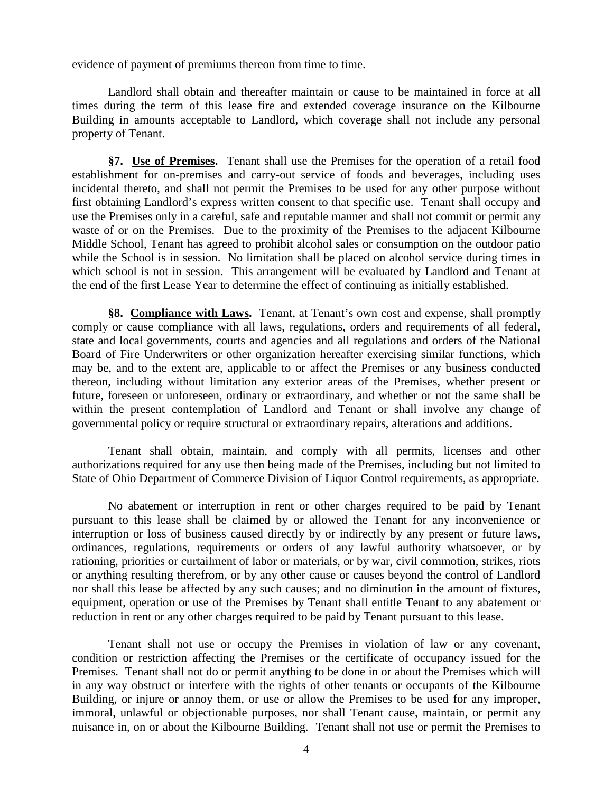evidence of payment of premiums thereon from time to time.

Landlord shall obtain and thereafter maintain or cause to be maintained in force at all times during the term of this lease fire and extended coverage insurance on the Kilbourne Building in amounts acceptable to Landlord, which coverage shall not include any personal property of Tenant.

**§7. Use of Premises.** Tenant shall use the Premises for the operation of a retail food establishment for on-premises and carry-out service of foods and beverages, including uses incidental thereto, and shall not permit the Premises to be used for any other purpose without first obtaining Landlord's express written consent to that specific use. Tenant shall occupy and use the Premises only in a careful, safe and reputable manner and shall not commit or permit any waste of or on the Premises. Due to the proximity of the Premises to the adjacent Kilbourne Middle School, Tenant has agreed to prohibit alcohol sales or consumption on the outdoor patio while the School is in session. No limitation shall be placed on alcohol service during times in which school is not in session. This arrangement will be evaluated by Landlord and Tenant at the end of the first Lease Year to determine the effect of continuing as initially established.

**§8. Compliance with Laws.** Tenant, at Tenant's own cost and expense, shall promptly comply or cause compliance with all laws, regulations, orders and requirements of all federal, state and local governments, courts and agencies and all regulations and orders of the National Board of Fire Underwriters or other organization hereafter exercising similar functions, which may be, and to the extent are, applicable to or affect the Premises or any business conducted thereon, including without limitation any exterior areas of the Premises, whether present or future, foreseen or unforeseen, ordinary or extraordinary, and whether or not the same shall be within the present contemplation of Landlord and Tenant or shall involve any change of governmental policy or require structural or extraordinary repairs, alterations and additions.

Tenant shall obtain, maintain, and comply with all permits, licenses and other authorizations required for any use then being made of the Premises, including but not limited to State of Ohio Department of Commerce Division of Liquor Control requirements, as appropriate.

No abatement or interruption in rent or other charges required to be paid by Tenant pursuant to this lease shall be claimed by or allowed the Tenant for any inconvenience or interruption or loss of business caused directly by or indirectly by any present or future laws, ordinances, regulations, requirements or orders of any lawful authority whatsoever, or by rationing, priorities or curtailment of labor or materials, or by war, civil commotion, strikes, riots or anything resulting therefrom, or by any other cause or causes beyond the control of Landlord nor shall this lease be affected by any such causes; and no diminution in the amount of fixtures, equipment, operation or use of the Premises by Tenant shall entitle Tenant to any abatement or reduction in rent or any other charges required to be paid by Tenant pursuant to this lease.

Tenant shall not use or occupy the Premises in violation of law or any covenant, condition or restriction affecting the Premises or the certificate of occupancy issued for the Premises. Tenant shall not do or permit anything to be done in or about the Premises which will in any way obstruct or interfere with the rights of other tenants or occupants of the Kilbourne Building, or injure or annoy them, or use or allow the Premises to be used for any improper, immoral, unlawful or objectionable purposes, nor shall Tenant cause, maintain, or permit any nuisance in, on or about the Kilbourne Building. Tenant shall not use or permit the Premises to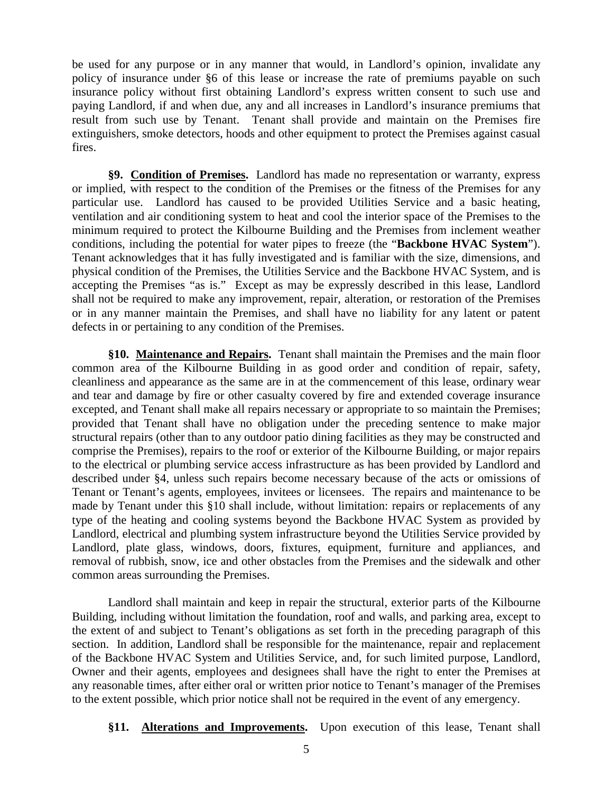be used for any purpose or in any manner that would, in Landlord's opinion, invalidate any policy of insurance under §6 of this lease or increase the rate of premiums payable on such insurance policy without first obtaining Landlord's express written consent to such use and paying Landlord, if and when due, any and all increases in Landlord's insurance premiums that result from such use by Tenant. Tenant shall provide and maintain on the Premises fire extinguishers, smoke detectors, hoods and other equipment to protect the Premises against casual fires.

**§9. Condition of Premises.** Landlord has made no representation or warranty, express or implied, with respect to the condition of the Premises or the fitness of the Premises for any particular use. Landlord has caused to be provided Utilities Service and a basic heating, ventilation and air conditioning system to heat and cool the interior space of the Premises to the minimum required to protect the Kilbourne Building and the Premises from inclement weather conditions, including the potential for water pipes to freeze (the "**Backbone HVAC System**"). Tenant acknowledges that it has fully investigated and is familiar with the size, dimensions, and physical condition of the Premises, the Utilities Service and the Backbone HVAC System, and is accepting the Premises "as is." Except as may be expressly described in this lease, Landlord shall not be required to make any improvement, repair, alteration, or restoration of the Premises or in any manner maintain the Premises, and shall have no liability for any latent or patent defects in or pertaining to any condition of the Premises.

**§10. Maintenance and Repairs.** Tenant shall maintain the Premises and the main floor common area of the Kilbourne Building in as good order and condition of repair, safety, cleanliness and appearance as the same are in at the commencement of this lease, ordinary wear and tear and damage by fire or other casualty covered by fire and extended coverage insurance excepted, and Tenant shall make all repairs necessary or appropriate to so maintain the Premises; provided that Tenant shall have no obligation under the preceding sentence to make major structural repairs (other than to any outdoor patio dining facilities as they may be constructed and comprise the Premises), repairs to the roof or exterior of the Kilbourne Building, or major repairs to the electrical or plumbing service access infrastructure as has been provided by Landlord and described under §4, unless such repairs become necessary because of the acts or omissions of Tenant or Tenant's agents, employees, invitees or licensees. The repairs and maintenance to be made by Tenant under this §10 shall include, without limitation: repairs or replacements of any type of the heating and cooling systems beyond the Backbone HVAC System as provided by Landlord, electrical and plumbing system infrastructure beyond the Utilities Service provided by Landlord, plate glass, windows, doors, fixtures, equipment, furniture and appliances, and removal of rubbish, snow, ice and other obstacles from the Premises and the sidewalk and other common areas surrounding the Premises.

Landlord shall maintain and keep in repair the structural, exterior parts of the Kilbourne Building, including without limitation the foundation, roof and walls, and parking area, except to the extent of and subject to Tenant's obligations as set forth in the preceding paragraph of this section. In addition, Landlord shall be responsible for the maintenance, repair and replacement of the Backbone HVAC System and Utilities Service, and, for such limited purpose, Landlord, Owner and their agents, employees and designees shall have the right to enter the Premises at any reasonable times, after either oral or written prior notice to Tenant's manager of the Premises to the extent possible, which prior notice shall not be required in the event of any emergency.

**§11. Alterations and Improvements.** Upon execution of this lease, Tenant shall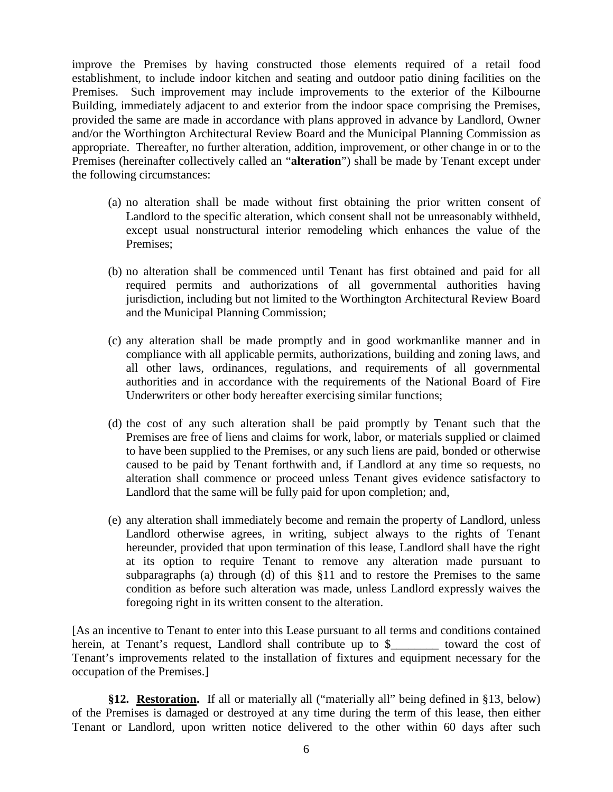improve the Premises by having constructed those elements required of a retail food establishment, to include indoor kitchen and seating and outdoor patio dining facilities on the Premises. Such improvement may include improvements to the exterior of the Kilbourne Building, immediately adjacent to and exterior from the indoor space comprising the Premises, provided the same are made in accordance with plans approved in advance by Landlord, Owner and/or the Worthington Architectural Review Board and the Municipal Planning Commission as appropriate. Thereafter, no further alteration, addition, improvement, or other change in or to the Premises (hereinafter collectively called an "**alteration**") shall be made by Tenant except under the following circumstances:

- (a) no alteration shall be made without first obtaining the prior written consent of Landlord to the specific alteration, which consent shall not be unreasonably withheld, except usual nonstructural interior remodeling which enhances the value of the Premises;
- (b) no alteration shall be commenced until Tenant has first obtained and paid for all required permits and authorizations of all governmental authorities having jurisdiction, including but not limited to the Worthington Architectural Review Board and the Municipal Planning Commission;
- (c) any alteration shall be made promptly and in good workmanlike manner and in compliance with all applicable permits, authorizations, building and zoning laws, and all other laws, ordinances, regulations, and requirements of all governmental authorities and in accordance with the requirements of the National Board of Fire Underwriters or other body hereafter exercising similar functions;
- (d) the cost of any such alteration shall be paid promptly by Tenant such that the Premises are free of liens and claims for work, labor, or materials supplied or claimed to have been supplied to the Premises, or any such liens are paid, bonded or otherwise caused to be paid by Tenant forthwith and, if Landlord at any time so requests, no alteration shall commence or proceed unless Tenant gives evidence satisfactory to Landlord that the same will be fully paid for upon completion; and,
- (e) any alteration shall immediately become and remain the property of Landlord, unless Landlord otherwise agrees, in writing, subject always to the rights of Tenant hereunder, provided that upon termination of this lease, Landlord shall have the right at its option to require Tenant to remove any alteration made pursuant to subparagraphs (a) through (d) of this §11 and to restore the Premises to the same condition as before such alteration was made, unless Landlord expressly waives the foregoing right in its written consent to the alteration.

[As an incentive to Tenant to enter into this Lease pursuant to all terms and conditions contained herein, at Tenant's request, Landlord shall contribute up to \$\_\_\_\_\_\_\_\_\_ toward the cost of Tenant's improvements related to the installation of fixtures and equipment necessary for the occupation of the Premises.]

**§12. Restoration.** If all or materially all ("materially all" being defined in §13, below) of the Premises is damaged or destroyed at any time during the term of this lease, then either Tenant or Landlord, upon written notice delivered to the other within 60 days after such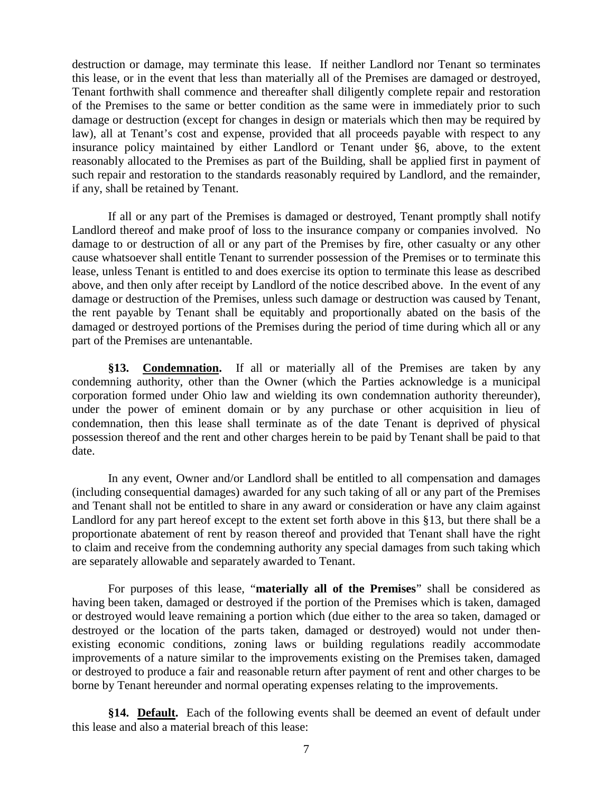destruction or damage, may terminate this lease. If neither Landlord nor Tenant so terminates this lease, or in the event that less than materially all of the Premises are damaged or destroyed, Tenant forthwith shall commence and thereafter shall diligently complete repair and restoration of the Premises to the same or better condition as the same were in immediately prior to such damage or destruction (except for changes in design or materials which then may be required by law), all at Tenant's cost and expense, provided that all proceeds payable with respect to any insurance policy maintained by either Landlord or Tenant under §6, above, to the extent reasonably allocated to the Premises as part of the Building, shall be applied first in payment of such repair and restoration to the standards reasonably required by Landlord, and the remainder, if any, shall be retained by Tenant.

If all or any part of the Premises is damaged or destroyed, Tenant promptly shall notify Landlord thereof and make proof of loss to the insurance company or companies involved. No damage to or destruction of all or any part of the Premises by fire, other casualty or any other cause whatsoever shall entitle Tenant to surrender possession of the Premises or to terminate this lease, unless Tenant is entitled to and does exercise its option to terminate this lease as described above, and then only after receipt by Landlord of the notice described above. In the event of any damage or destruction of the Premises, unless such damage or destruction was caused by Tenant, the rent payable by Tenant shall be equitably and proportionally abated on the basis of the damaged or destroyed portions of the Premises during the period of time during which all or any part of the Premises are untenantable.

**§13. Condemnation.** If all or materially all of the Premises are taken by any condemning authority, other than the Owner (which the Parties acknowledge is a municipal corporation formed under Ohio law and wielding its own condemnation authority thereunder), under the power of eminent domain or by any purchase or other acquisition in lieu of condemnation, then this lease shall terminate as of the date Tenant is deprived of physical possession thereof and the rent and other charges herein to be paid by Tenant shall be paid to that date.

In any event, Owner and/or Landlord shall be entitled to all compensation and damages (including consequential damages) awarded for any such taking of all or any part of the Premises and Tenant shall not be entitled to share in any award or consideration or have any claim against Landlord for any part hereof except to the extent set forth above in this §13, but there shall be a proportionate abatement of rent by reason thereof and provided that Tenant shall have the right to claim and receive from the condemning authority any special damages from such taking which are separately allowable and separately awarded to Tenant.

For purposes of this lease, "**materially all of the Premises**" shall be considered as having been taken, damaged or destroyed if the portion of the Premises which is taken, damaged or destroyed would leave remaining a portion which (due either to the area so taken, damaged or destroyed or the location of the parts taken, damaged or destroyed) would not under thenexisting economic conditions, zoning laws or building regulations readily accommodate improvements of a nature similar to the improvements existing on the Premises taken, damaged or destroyed to produce a fair and reasonable return after payment of rent and other charges to be borne by Tenant hereunder and normal operating expenses relating to the improvements.

**§14. Default.** Each of the following events shall be deemed an event of default under this lease and also a material breach of this lease: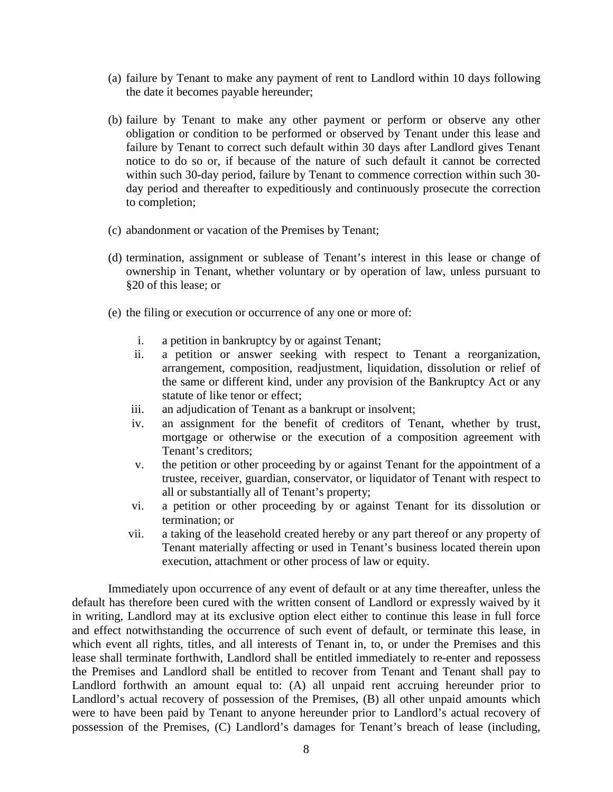- (a) failure by Tenant to make any payment of rent to Landlord within 10 days following the date it becomes payable hereunder;
- (b) failure by Tenant to make any other payment or perform or observe any other obligation or condition to be performed or observed by Tenant under this lease and failure by Tenant to correct such default within 30 days after Landlord gives Tenant notice to do so or, if because of the nature of such default it cannot be corrected within such 30-day period, failure by Tenant to commence correction within such 30 day period and thereafter to expeditiously and continuously prosecute the correction to completion;
- (c) abandonment or vacation of the Premises by Tenant;
- (d) termination, assignment or sublease of Tenant's interest in this lease or change of ownership in Tenant, whether voluntary or by operation of law, unless pursuant to §20 of this lease; or
- (e) the filing or execution or occurrence of any one or more of:
	- i. a petition in bankruptcy by or against Tenant;
	- ii. a petition or answer seeking with respect to Tenant a reorganization, arrangement, composition, readjustment, liquidation, dissolution or relief of the same or different kind, under any provision of the Bankruptcy Act or any statute of like tenor or effect;
	- iii. an adjudication of Tenant as a bankrupt or insolvent;
	- iv. an assignment for the benefit of creditors of Tenant, whether by trust, mortgage or otherwise or the execution of a composition agreement with Tenant's creditors;
	- v. the petition or other proceeding by or against Tenant for the appointment of a trustee, receiver, guardian, conservator, or liquidator of Tenant with respect to all or substantially all of Tenant's property;
	- vi. a petition or other proceeding by or against Tenant for its dissolution or termination; or
	- vii. a taking of the leasehold created hereby or any part thereof or any property of Tenant materially affecting or used in Tenant's business located therein upon execution, attachment or other process of law or equity.

Immediately upon occurrence of any event of default or at any time thereafter, unless the default has therefore been cured with the written consent of Landlord or expressly waived by it in writing, Landlord may at its exclusive option elect either to continue this lease in full force and effect notwithstanding the occurrence of such event of default, or terminate this lease, in which event all rights, titles, and all interests of Tenant in, to, or under the Premises and this lease shall terminate forthwith, Landlord shall be entitled immediately to re-enter and repossess the Premises and Landlord shall be entitled to recover from Tenant and Tenant shall pay to Landlord forthwith an amount equal to: (A) all unpaid rent accruing hereunder prior to Landlord's actual recovery of possession of the Premises, (B) all other unpaid amounts which were to have been paid by Tenant to anyone hereunder prior to Landlord's actual recovery of possession of the Premises, (C) Landlord's damages for Tenant's breach of lease (including,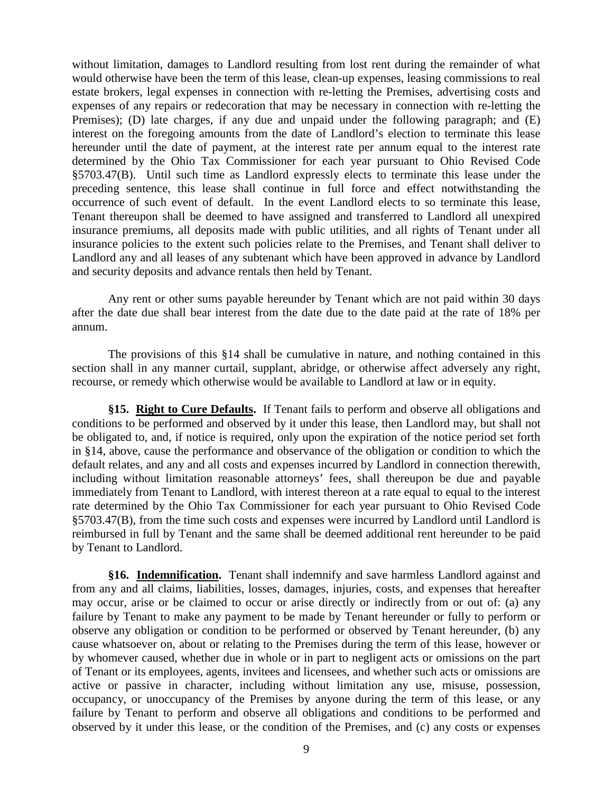without limitation, damages to Landlord resulting from lost rent during the remainder of what would otherwise have been the term of this lease, clean-up expenses, leasing commissions to real estate brokers, legal expenses in connection with re-letting the Premises, advertising costs and expenses of any repairs or redecoration that may be necessary in connection with re-letting the Premises); (D) late charges, if any due and unpaid under the following paragraph; and (E) interest on the foregoing amounts from the date of Landlord's election to terminate this lease hereunder until the date of payment, at the interest rate per annum equal to the interest rate determined by the Ohio Tax Commissioner for each year pursuant to Ohio Revised Code §5703.47(B). Until such time as Landlord expressly elects to terminate this lease under the preceding sentence, this lease shall continue in full force and effect notwithstanding the occurrence of such event of default. In the event Landlord elects to so terminate this lease, Tenant thereupon shall be deemed to have assigned and transferred to Landlord all unexpired insurance premiums, all deposits made with public utilities, and all rights of Tenant under all insurance policies to the extent such policies relate to the Premises, and Tenant shall deliver to Landlord any and all leases of any subtenant which have been approved in advance by Landlord and security deposits and advance rentals then held by Tenant.

Any rent or other sums payable hereunder by Tenant which are not paid within 30 days after the date due shall bear interest from the date due to the date paid at the rate of 18% per annum.

The provisions of this §14 shall be cumulative in nature, and nothing contained in this section shall in any manner curtail, supplant, abridge, or otherwise affect adversely any right, recourse, or remedy which otherwise would be available to Landlord at law or in equity.

**§15. Right to Cure Defaults.** If Tenant fails to perform and observe all obligations and conditions to be performed and observed by it under this lease, then Landlord may, but shall not be obligated to, and, if notice is required, only upon the expiration of the notice period set forth in §14, above, cause the performance and observance of the obligation or condition to which the default relates, and any and all costs and expenses incurred by Landlord in connection therewith, including without limitation reasonable attorneys' fees, shall thereupon be due and payable immediately from Tenant to Landlord, with interest thereon at a rate equal to equal to the interest rate determined by the Ohio Tax Commissioner for each year pursuant to Ohio Revised Code §5703.47(B), from the time such costs and expenses were incurred by Landlord until Landlord is reimbursed in full by Tenant and the same shall be deemed additional rent hereunder to be paid by Tenant to Landlord.

**§16. Indemnification.** Tenant shall indemnify and save harmless Landlord against and from any and all claims, liabilities, losses, damages, injuries, costs, and expenses that hereafter may occur, arise or be claimed to occur or arise directly or indirectly from or out of: (a) any failure by Tenant to make any payment to be made by Tenant hereunder or fully to perform or observe any obligation or condition to be performed or observed by Tenant hereunder, (b) any cause whatsoever on, about or relating to the Premises during the term of this lease, however or by whomever caused, whether due in whole or in part to negligent acts or omissions on the part of Tenant or its employees, agents, invitees and licensees, and whether such acts or omissions are active or passive in character, including without limitation any use, misuse, possession, occupancy, or unoccupancy of the Premises by anyone during the term of this lease, or any failure by Tenant to perform and observe all obligations and conditions to be performed and observed by it under this lease, or the condition of the Premises, and (c) any costs or expenses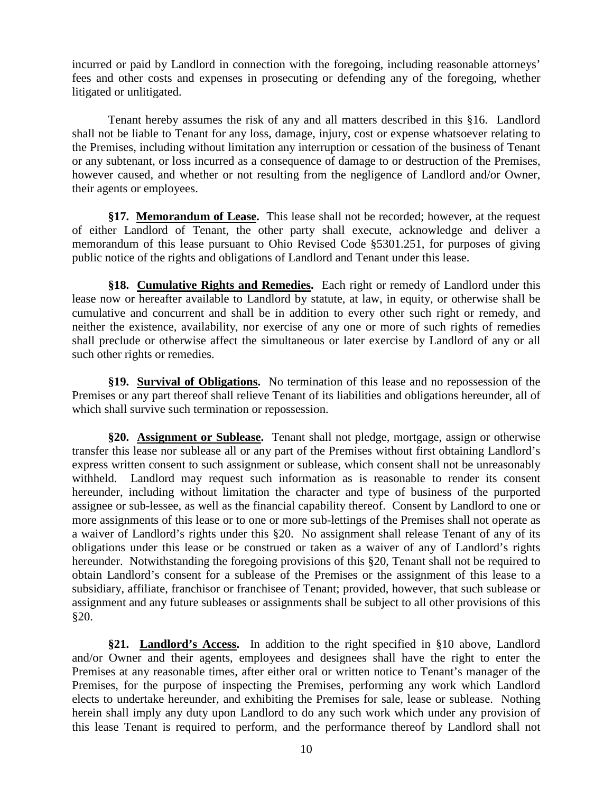incurred or paid by Landlord in connection with the foregoing, including reasonable attorneys' fees and other costs and expenses in prosecuting or defending any of the foregoing, whether litigated or unlitigated.

Tenant hereby assumes the risk of any and all matters described in this §16. Landlord shall not be liable to Tenant for any loss, damage, injury, cost or expense whatsoever relating to the Premises, including without limitation any interruption or cessation of the business of Tenant or any subtenant, or loss incurred as a consequence of damage to or destruction of the Premises, however caused, and whether or not resulting from the negligence of Landlord and/or Owner, their agents or employees.

**§17. Memorandum of Lease.** This lease shall not be recorded; however, at the request of either Landlord of Tenant, the other party shall execute, acknowledge and deliver a memorandum of this lease pursuant to Ohio Revised Code §5301.251, for purposes of giving public notice of the rights and obligations of Landlord and Tenant under this lease.

**§18. Cumulative Rights and Remedies.** Each right or remedy of Landlord under this lease now or hereafter available to Landlord by statute, at law, in equity, or otherwise shall be cumulative and concurrent and shall be in addition to every other such right or remedy, and neither the existence, availability, nor exercise of any one or more of such rights of remedies shall preclude or otherwise affect the simultaneous or later exercise by Landlord of any or all such other rights or remedies.

**§19. Survival of Obligations.** No termination of this lease and no repossession of the Premises or any part thereof shall relieve Tenant of its liabilities and obligations hereunder, all of which shall survive such termination or repossession.

**§20. Assignment or Sublease.** Tenant shall not pledge, mortgage, assign or otherwise transfer this lease nor sublease all or any part of the Premises without first obtaining Landlord's express written consent to such assignment or sublease, which consent shall not be unreasonably withheld. Landlord may request such information as is reasonable to render its consent hereunder, including without limitation the character and type of business of the purported assignee or sub-lessee, as well as the financial capability thereof. Consent by Landlord to one or more assignments of this lease or to one or more sub-lettings of the Premises shall not operate as a waiver of Landlord's rights under this §20. No assignment shall release Tenant of any of its obligations under this lease or be construed or taken as a waiver of any of Landlord's rights hereunder. Notwithstanding the foregoing provisions of this §20, Tenant shall not be required to obtain Landlord's consent for a sublease of the Premises or the assignment of this lease to a subsidiary, affiliate, franchisor or franchisee of Tenant; provided, however, that such sublease or assignment and any future subleases or assignments shall be subject to all other provisions of this §20.

**§21. Landlord's Access.** In addition to the right specified in §10 above, Landlord and/or Owner and their agents, employees and designees shall have the right to enter the Premises at any reasonable times, after either oral or written notice to Tenant's manager of the Premises, for the purpose of inspecting the Premises, performing any work which Landlord elects to undertake hereunder, and exhibiting the Premises for sale, lease or sublease. Nothing herein shall imply any duty upon Landlord to do any such work which under any provision of this lease Tenant is required to perform, and the performance thereof by Landlord shall not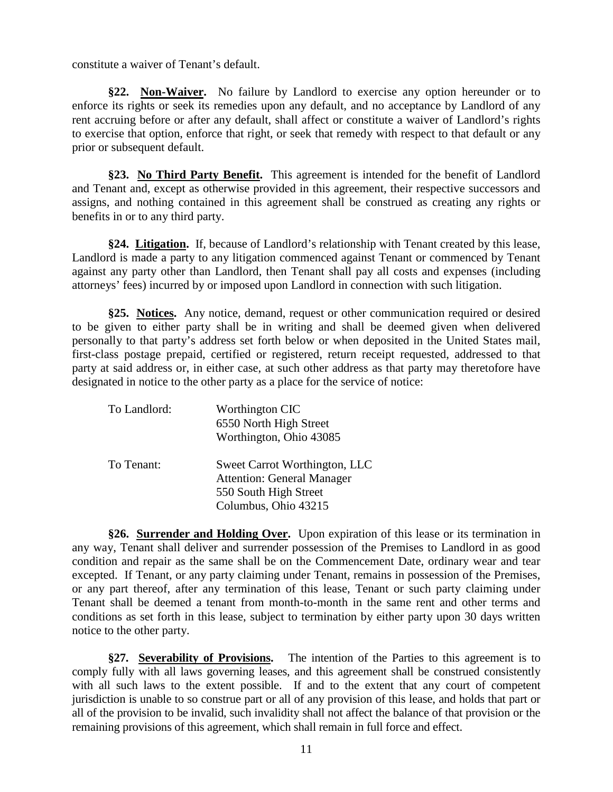constitute a waiver of Tenant's default.

**§22. Non-Waiver.** No failure by Landlord to exercise any option hereunder or to enforce its rights or seek its remedies upon any default, and no acceptance by Landlord of any rent accruing before or after any default, shall affect or constitute a waiver of Landlord's rights to exercise that option, enforce that right, or seek that remedy with respect to that default or any prior or subsequent default.

**§23. No Third Party Benefit.** This agreement is intended for the benefit of Landlord and Tenant and, except as otherwise provided in this agreement, their respective successors and assigns, and nothing contained in this agreement shall be construed as creating any rights or benefits in or to any third party.

**§24. Litigation.** If, because of Landlord's relationship with Tenant created by this lease, Landlord is made a party to any litigation commenced against Tenant or commenced by Tenant against any party other than Landlord, then Tenant shall pay all costs and expenses (including attorneys' fees) incurred by or imposed upon Landlord in connection with such litigation.

**§25. Notices.** Any notice, demand, request or other communication required or desired to be given to either party shall be in writing and shall be deemed given when delivered personally to that party's address set forth below or when deposited in the United States mail, first-class postage prepaid, certified or registered, return receipt requested, addressed to that party at said address or, in either case, at such other address as that party may theretofore have designated in notice to the other party as a place for the service of notice:

| To Landlord: | Worthington CIC<br>6550 North High Street<br>Worthington, Ohio 43085                                                |
|--------------|---------------------------------------------------------------------------------------------------------------------|
| To Tenant:   | Sweet Carrot Worthington, LLC<br><b>Attention: General Manager</b><br>550 South High Street<br>Columbus, Ohio 43215 |

**§26. Surrender and Holding Over.** Upon expiration of this lease or its termination in any way, Tenant shall deliver and surrender possession of the Premises to Landlord in as good condition and repair as the same shall be on the Commencement Date, ordinary wear and tear excepted. If Tenant, or any party claiming under Tenant, remains in possession of the Premises, or any part thereof, after any termination of this lease, Tenant or such party claiming under Tenant shall be deemed a tenant from month-to-month in the same rent and other terms and conditions as set forth in this lease, subject to termination by either party upon 30 days written notice to the other party.

**§27. Severability of Provisions.** The intention of the Parties to this agreement is to comply fully with all laws governing leases, and this agreement shall be construed consistently with all such laws to the extent possible. If and to the extent that any court of competent jurisdiction is unable to so construe part or all of any provision of this lease, and holds that part or all of the provision to be invalid, such invalidity shall not affect the balance of that provision or the remaining provisions of this agreement, which shall remain in full force and effect.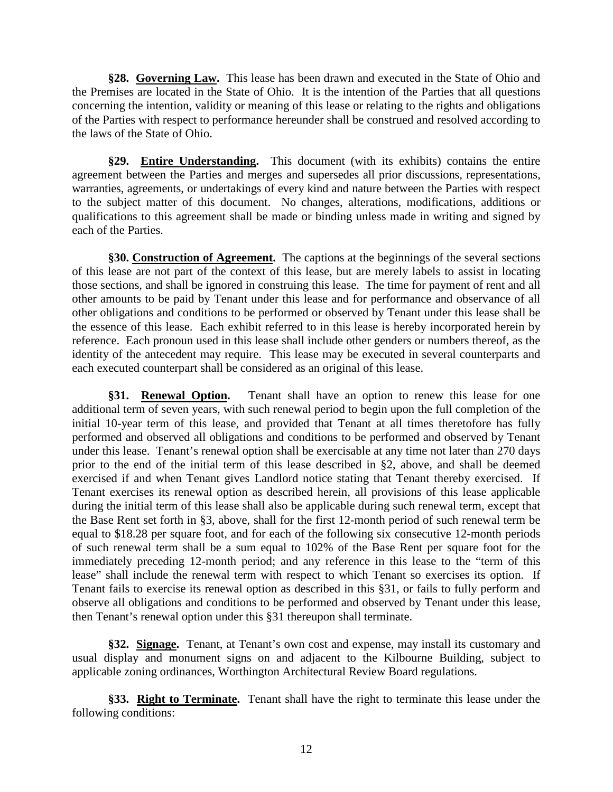**§28. Governing Law.** This lease has been drawn and executed in the State of Ohio and the Premises are located in the State of Ohio. It is the intention of the Parties that all questions concerning the intention, validity or meaning of this lease or relating to the rights and obligations of the Parties with respect to performance hereunder shall be construed and resolved according to the laws of the State of Ohio.

**§29. Entire Understanding.** This document (with its exhibits) contains the entire agreement between the Parties and merges and supersedes all prior discussions, representations, warranties, agreements, or undertakings of every kind and nature between the Parties with respect to the subject matter of this document. No changes, alterations, modifications, additions or qualifications to this agreement shall be made or binding unless made in writing and signed by each of the Parties.

**§30. Construction of Agreement.** The captions at the beginnings of the several sections of this lease are not part of the context of this lease, but are merely labels to assist in locating those sections, and shall be ignored in construing this lease. The time for payment of rent and all other amounts to be paid by Tenant under this lease and for performance and observance of all other obligations and conditions to be performed or observed by Tenant under this lease shall be the essence of this lease. Each exhibit referred to in this lease is hereby incorporated herein by reference. Each pronoun used in this lease shall include other genders or numbers thereof, as the identity of the antecedent may require. This lease may be executed in several counterparts and each executed counterpart shall be considered as an original of this lease.

**§31. Renewal Option.** Tenant shall have an option to renew this lease for one additional term of seven years, with such renewal period to begin upon the full completion of the initial 10-year term of this lease, and provided that Tenant at all times theretofore has fully performed and observed all obligations and conditions to be performed and observed by Tenant under this lease. Tenant's renewal option shall be exercisable at any time not later than 270 days prior to the end of the initial term of this lease described in §2, above, and shall be deemed exercised if and when Tenant gives Landlord notice stating that Tenant thereby exercised. If Tenant exercises its renewal option as described herein, all provisions of this lease applicable during the initial term of this lease shall also be applicable during such renewal term, except that the Base Rent set forth in §3, above, shall for the first 12-month period of such renewal term be equal to \$18.28 per square foot, and for each of the following six consecutive 12-month periods of such renewal term shall be a sum equal to 102% of the Base Rent per square foot for the immediately preceding 12-month period; and any reference in this lease to the "term of this lease" shall include the renewal term with respect to which Tenant so exercises its option. If Tenant fails to exercise its renewal option as described in this §31, or fails to fully perform and observe all obligations and conditions to be performed and observed by Tenant under this lease, then Tenant's renewal option under this §31 thereupon shall terminate.

**§32. Signage.** Tenant, at Tenant's own cost and expense, may install its customary and usual display and monument signs on and adjacent to the Kilbourne Building, subject to applicable zoning ordinances, Worthington Architectural Review Board regulations.

**§33. Right to Terminate.** Tenant shall have the right to terminate this lease under the following conditions: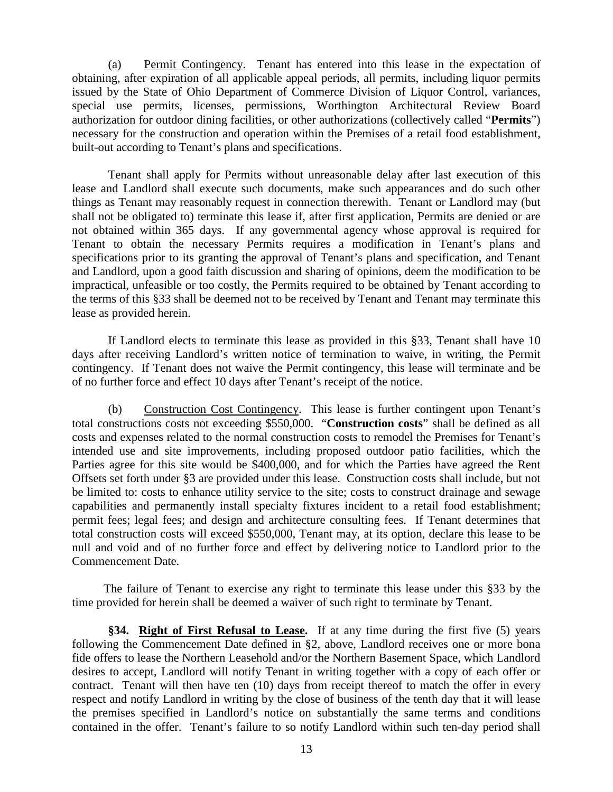(a) Permit Contingency. Tenant has entered into this lease in the expectation of obtaining, after expiration of all applicable appeal periods, all permits, including liquor permits issued by the State of Ohio Department of Commerce Division of Liquor Control, variances, special use permits, licenses, permissions, Worthington Architectural Review Board authorization for outdoor dining facilities, or other authorizations (collectively called "**Permits**") necessary for the construction and operation within the Premises of a retail food establishment, built-out according to Tenant's plans and specifications.

Tenant shall apply for Permits without unreasonable delay after last execution of this lease and Landlord shall execute such documents, make such appearances and do such other things as Tenant may reasonably request in connection therewith. Tenant or Landlord may (but shall not be obligated to) terminate this lease if, after first application, Permits are denied or are not obtained within 365 days. If any governmental agency whose approval is required for Tenant to obtain the necessary Permits requires a modification in Tenant's plans and specifications prior to its granting the approval of Tenant's plans and specification, and Tenant and Landlord, upon a good faith discussion and sharing of opinions, deem the modification to be impractical, unfeasible or too costly, the Permits required to be obtained by Tenant according to the terms of this §33 shall be deemed not to be received by Tenant and Tenant may terminate this lease as provided herein.

If Landlord elects to terminate this lease as provided in this §33, Tenant shall have 10 days after receiving Landlord's written notice of termination to waive, in writing, the Permit contingency. If Tenant does not waive the Permit contingency, this lease will terminate and be of no further force and effect 10 days after Tenant's receipt of the notice.

(b) Construction Cost Contingency. This lease is further contingent upon Tenant's total constructions costs not exceeding \$550,000. "**Construction costs**" shall be defined as all costs and expenses related to the normal construction costs to remodel the Premises for Tenant's intended use and site improvements, including proposed outdoor patio facilities, which the Parties agree for this site would be \$400,000, and for which the Parties have agreed the Rent Offsets set forth under §3 are provided under this lease. Construction costs shall include, but not be limited to: costs to enhance utility service to the site; costs to construct drainage and sewage capabilities and permanently install specialty fixtures incident to a retail food establishment; permit fees; legal fees; and design and architecture consulting fees. If Tenant determines that total construction costs will exceed \$550,000, Tenant may, at its option, declare this lease to be null and void and of no further force and effect by delivering notice to Landlord prior to the Commencement Date.

The failure of Tenant to exercise any right to terminate this lease under this §33 by the time provided for herein shall be deemed a waiver of such right to terminate by Tenant.

**§34. Right of First Refusal to Lease.** If at any time during the first five (5) years following the Commencement Date defined in §2, above, Landlord receives one or more bona fide offers to lease the Northern Leasehold and/or the Northern Basement Space, which Landlord desires to accept, Landlord will notify Tenant in writing together with a copy of each offer or contract. Tenant will then have ten (10) days from receipt thereof to match the offer in every respect and notify Landlord in writing by the close of business of the tenth day that it will lease the premises specified in Landlord's notice on substantially the same terms and conditions contained in the offer. Tenant's failure to so notify Landlord within such ten-day period shall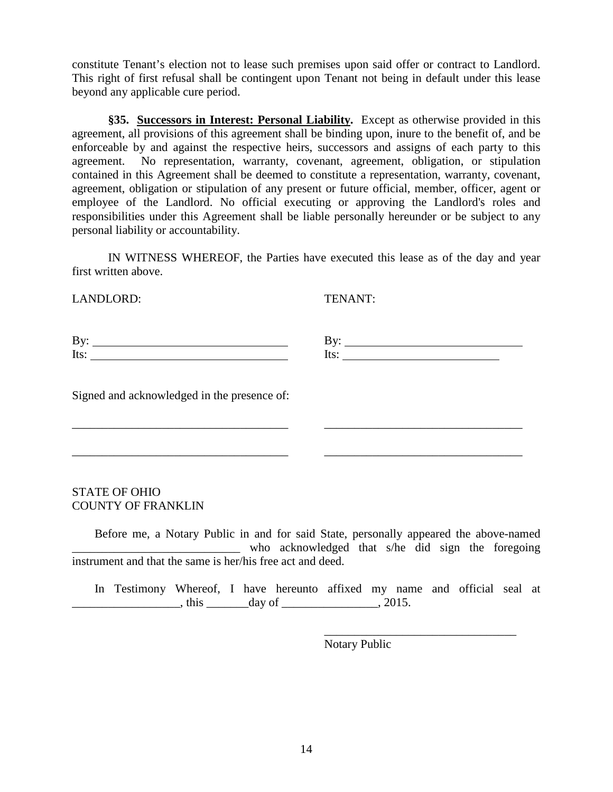constitute Tenant's election not to lease such premises upon said offer or contract to Landlord. This right of first refusal shall be contingent upon Tenant not being in default under this lease beyond any applicable cure period.

**§35. Successors in Interest: Personal Liability.** Except as otherwise provided in this agreement, all provisions of this agreement shall be binding upon, inure to the benefit of, and be enforceable by and against the respective heirs, successors and assigns of each party to this agreement. No representation, warranty, covenant, agreement, obligation, or stipulation contained in this Agreement shall be deemed to constitute a representation, warranty, covenant, agreement, obligation or stipulation of any present or future official, member, officer, agent or employee of the Landlord. No official executing or approving the Landlord's roles and responsibilities under this Agreement shall be liable personally hereunder or be subject to any personal liability or accountability.

IN WITNESS WHEREOF, the Parties have executed this lease as of the day and year first written above.

LANDLORD: TENANT:

\_\_\_\_\_\_\_\_\_\_\_\_\_\_\_\_\_\_\_\_\_\_\_\_\_\_\_\_\_\_\_\_

Signed and acknowledged in the presence of:

# STATE OF OHIO COUNTY OF FRANKLIN

Before me, a Notary Public in and for said State, personally appeared the above-named who acknowledged that s/he did sign the foregoing instrument and that the same is her/his free act and deed.

\_\_\_\_\_\_\_\_\_\_\_\_\_\_\_\_\_\_\_\_\_\_\_\_\_\_\_\_\_\_\_\_\_\_\_\_ \_\_\_\_\_\_\_\_\_\_\_\_\_\_\_\_\_\_\_\_\_\_\_\_\_\_\_\_\_\_\_\_\_

\_\_\_\_\_\_\_\_\_\_\_\_\_\_\_\_\_\_\_\_\_\_\_\_\_\_\_\_\_\_\_\_\_\_\_\_ \_\_\_\_\_\_\_\_\_\_\_\_\_\_\_\_\_\_\_\_\_\_\_\_\_\_\_\_\_\_\_\_\_

In Testimony Whereof, I have hereunto affixed my name and official seal at  $\frac{1}{2}$ , this  $\frac{1}{2}$  day of  $\frac{1}{2}$ , 2015.

Notary Public